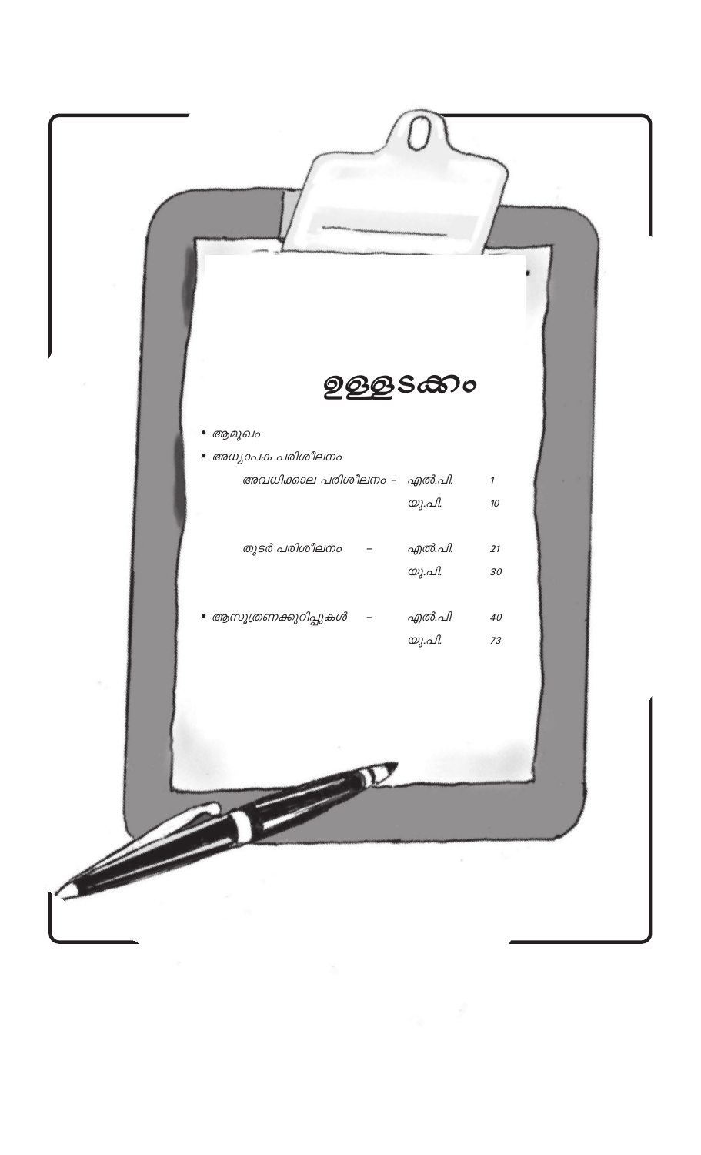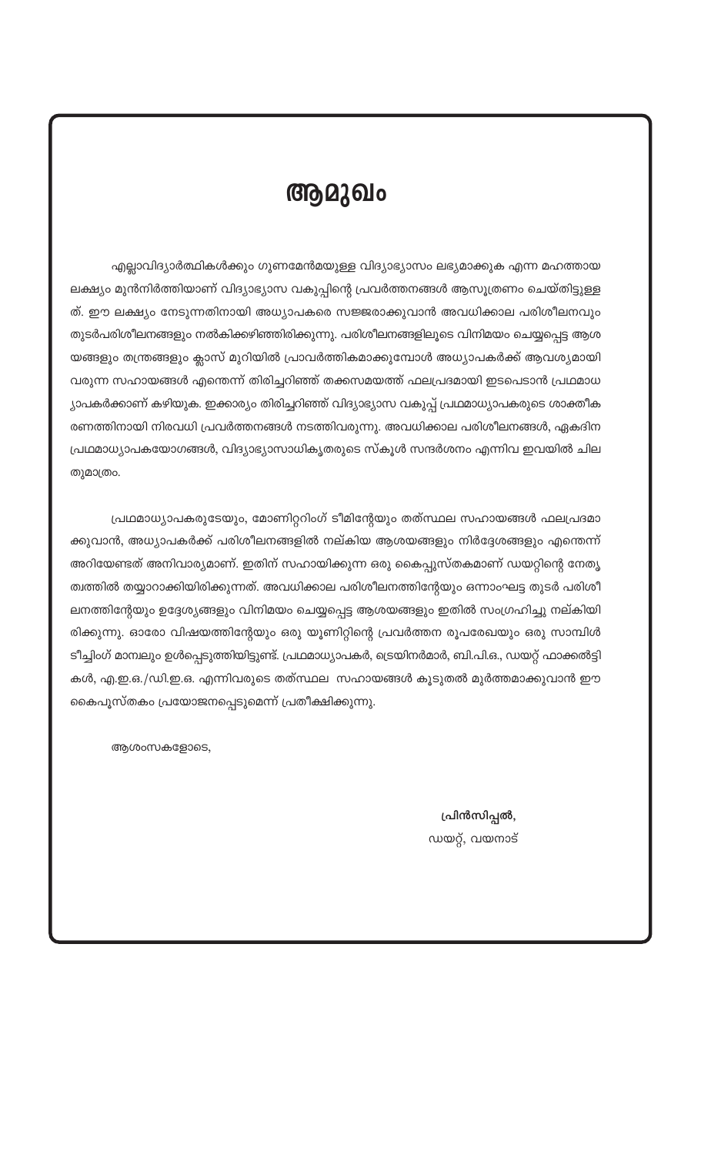## **ആമുഖം**

എല്ലാവിദ്യാർത്ഥികൾക്കും ഗുണമേൻമയുള്ള വിദ്യാഭ്യാസം ലഭ്യമാക്കുക എന്ന മഹത്തായ ലക്ഷ്യം മുൻനിർത്തിയാണ് വിദ്യാഭ്യാസ വകുപ്പിന്റെ പ്രവർത്തനങ്ങൾ ആസൂത്രണം ചെയ്തിട്ടുള്ള ത്. ഈ ലക്ഷ്യം നേടുന്നതിനായി അധ്യാപകരെ സജ്ജരാക്കുവാൻ അവധിക്കാല പരിശീലനവും തുടർപരിശീലനങ്ങളും നൽകിക്കഴിഞ്ഞിരിക്കുന്നു. പരിശീലനങ്ങളിലൂടെ വിനിമയം ചെയ്യപ്പെട്ട ആശ യങ്ങളും തന്ത്രങ്ങളും ക്ലാസ് മുറിയിൽ പ്രാവർത്തികമാക്കുമ്പോൾ അധ്യാപകർക്ക് ആവശ്യമായി വരുന്ന സഹായങ്ങൾ എന്തെന്ന് തിരിച്ചറിഞ്ഞ് തക്കസമയത്ത് ഫലപ്രദമായി ഇടപെടാൻ പ്രഥമാധ  $\,$ ്യാപകർക്കാണ് കഴിയുക. ഇക്കാര്യം തിരിച്ചറിഞ്ഞ് വിദ്യാഭ്യാസ വകുപ്പ് പ്രഥമാധ്യാപകരുടെ ശാക്തീക രണത്തിനായി നിരവധി പ്രവർത്തനങ്ങൾ നടത്തിവരുന്നു. അവധിക്കാല പരിശീലനങ്ങൾ, ഏകദിന പ്രഥമാധ്യാപകയോഗങ്ങൾ, വിദ്യാഭ്യാസാധികൃതരുടെ സ്കൂൾ സന്ദർശനം എന്നിവ ഇവയിൽ ചില തുമാത്രം.

പ്രഥമാധ്യാപകരുടേയും, മോണിറ്ററിംഗ് ടീമിന്റേയും തത്സ്ഥല സഹായങ്ങൾ ഫലപ്രദമാ ക്കുവാൻ, അധ്യാപകർക്ക് പരിശീലനങ്ങളിൽ നല്കിയ ആശയങ്ങളും നിർദ്ദേശങ്ങളും എന്തെന്ന് അറിയേണ്ടത് അനിവാര്യമാണ്. ഇതിന് സഹായിക്കുന്ന ഒരു കൈപ്പുസ്തകമാണ് ഡയറ്റിന്റെ നേതൃ ത്വത്തിൽ തയ്യാറാക്കിയിരിക്കുന്നത്. അവധിക്കാല പരിശീലനത്തിന്റേയും ഒന്നാംഘട്ട തുടർ പരിശീ ലനത്തിന്റേയും ഉദ്ദേശ്യങ്ങളും വിനിമയം ചെയ്യപ്പെട്ട ആശയങ്ങളും ഇതിൽ സംഗ്രഹിച്ചു നല്കിയി രിക്കുന്നു. ഓരോ വിഷയത്തിന്റേയും ഒരു യൂണിറ്റിന്റെ പ്രവർത്തന രൂപരേഖയും ഒരു സാമ്പിൾ ടീച്ചിംഗ് മാമ്പലും ഉൾപ്പെടുത്തിയിട്ടുണ്ട്. പ്രഥമാധ്യാപകർ, ട്രെയിനർമാർ, ബി.പി.ഒ., ഡയറ്റ് ഫാക്കൽട്ടി കൾ, എ.ഇ.ഒ./ഡി.ഇ.ഒ. എന്നിവരുടെ തത്സ്ഥല സഹായങ്ങൾ കൂടുതൽ മുർത്തമാക്കുവാൻ ഈ കൈപൂസ്തകം പ്രയോജനപ്പെടുമെന്ന് പ്രതീക്ഷിക്കുന്നു.

2

അശംസകളോടെ,

**{]n≥kn-∏¬,** ഡയറ്റ്, വയനാട്